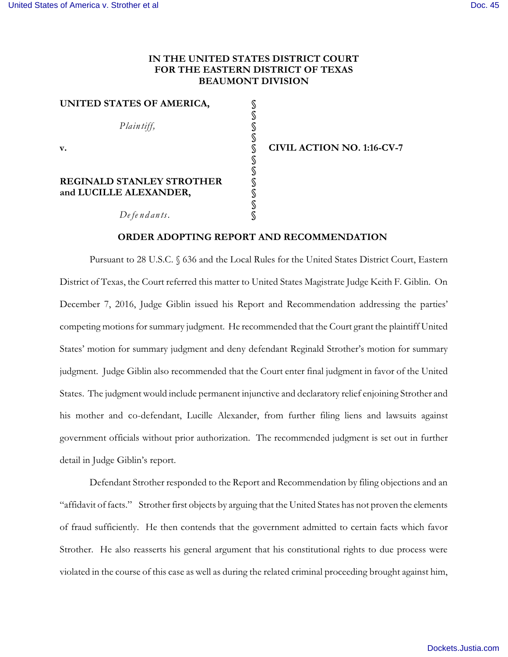## **IN THE UNITED STATES DISTRICT COURT FOR THE EASTERN DISTRICT OF TEXAS BEAUMONT DIVISION**

| UNITED STATES OF AMERICA,        |                                   |
|----------------------------------|-----------------------------------|
|                                  |                                   |
| Plain tiff,                      |                                   |
|                                  |                                   |
| v.                               | <b>CIVIL ACTION NO. 1:16-CV-7</b> |
|                                  |                                   |
|                                  |                                   |
| <b>REGINALD STANLEY STROTHER</b> |                                   |
| and LUCILLE ALEXANDER,           |                                   |
|                                  |                                   |
| De fe n dants.                   |                                   |

## **ORDER ADOPTING REPORT AND RECOMMENDATION**

Pursuant to 28 U.S.C. § 636 and the Local Rules for the United States District Court, Eastern District of Texas, the Court referred this matter to United States Magistrate Judge Keith F. Giblin. On December 7, 2016, Judge Giblin issued his Report and Recommendation addressing the parties' competing motions for summary judgment. He recommended that the Court grant the plaintiff United States' motion for summary judgment and deny defendant Reginald Strother's motion for summary judgment. Judge Giblin also recommended that the Court enter final judgment in favor of the United States. The judgment would include permanent injunctive and declaratory relief enjoining Strother and his mother and co-defendant, Lucille Alexander, from further filing liens and lawsuits against government officials without prior authorization. The recommended judgment is set out in further detail in Judge Giblin's report.

Defendant Strother responded to the Report and Recommendation by filing objections and an "affidavit of facts." Strother first objects by arguing that the United States has not proven the elements of fraud sufficiently. He then contends that the government admitted to certain facts which favor Strother. He also reasserts his general argument that his constitutional rights to due process were violated in the course of this case as well as during the related criminal proceeding brought against him,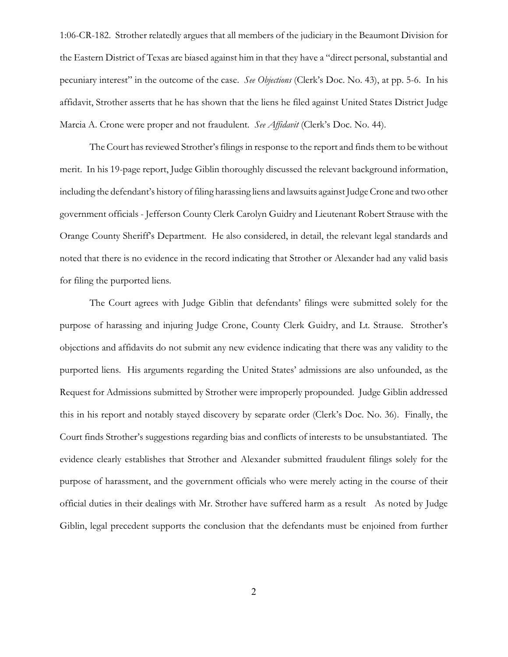1:06-CR-182. Strother relatedly argues that all members of the judiciary in the Beaumont Division for the Eastern District of Texas are biased against him in that they have a "direct personal, substantial and pecuniary interest" in the outcome of the case. *See Objections* (Clerk's Doc. No. 43), at pp. 5-6. In his affidavit, Strother asserts that he has shown that the liens he filed against United States District Judge Marcia A. Crone were proper and not fraudulent. *See Affidavit* (Clerk's Doc. No. 44).

The Court has reviewed Strother's filings in response to the report and finds them to be without merit. In his 19-page report, Judge Giblin thoroughly discussed the relevant background information, including the defendant's history of filing harassing liens and lawsuits against Judge Crone and two other government officials - Jefferson County Clerk Carolyn Guidry and Lieutenant Robert Strause with the Orange County Sheriff's Department. He also considered, in detail, the relevant legal standards and noted that there is no evidence in the record indicating that Strother or Alexander had any valid basis for filing the purported liens.

The Court agrees with Judge Giblin that defendants' filings were submitted solely for the purpose of harassing and injuring Judge Crone, County Clerk Guidry, and Lt. Strause. Strother's objections and affidavits do not submit any new evidence indicating that there was any validity to the purported liens. His arguments regarding the United States' admissions are also unfounded, as the Request for Admissions submitted by Strother were improperly propounded. Judge Giblin addressed this in his report and notably stayed discovery by separate order (Clerk's Doc. No. 36). Finally, the Court finds Strother's suggestions regarding bias and conflicts of interests to be unsubstantiated. The evidence clearly establishes that Strother and Alexander submitted fraudulent filings solely for the purpose of harassment, and the government officials who were merely acting in the course of their official duties in their dealings with Mr. Strother have suffered harm as a result As noted by Judge Giblin, legal precedent supports the conclusion that the defendants must be enjoined from further